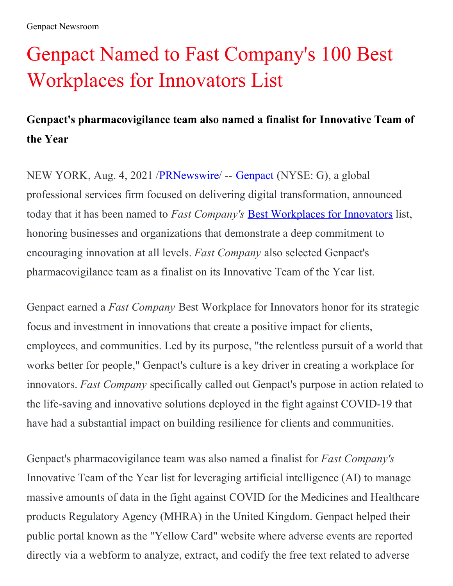# Genpact Named to Fast Company's 100 Best Workplaces for Innovators List

## **Genpact's pharmacovigilance team also named a finalist for Innovative Team of the Year**

NEW YORK, Aug. 4, 2021 /[PRNewswire](http://www.prnewswire.com/)/ -- [Genpact](https://c212.net/c/link/?t=0&l=en&o=3249219-1&h=2609477285&u=https%3A%2F%2Fwww.genpact.com%2F&a=Genpact) (NYSE: G), a global professional services firm focused on delivering digital transformation, announced today that it has been named to *Fast Company's* Best [Workplaces](https://c212.net/c/link/?t=0&l=en&o=3249219-1&h=1622666767&u=https%3A%2F%2Fwww.fastcompany.com%2Fbest-workplaces-for-innovators%2F2021&a=Best+Workplaces+for+Innovators) for Innovators list, honoring businesses and organizations that demonstrate a deep commitment to encouraging innovation at all levels. *Fast Company* also selected Genpact's pharmacovigilance team as a finalist on its Innovative Team of the Year list.

Genpact earned a *Fast Company* Best Workplace for Innovators honor for its strategic focus and investment in innovations that create a positive impact for clients, employees, and communities. Led by its purpose, "the relentless pursuit of a world that works better for people," Genpact's culture is a key driver in creating a workplace for innovators. *Fast Company* specifically called out Genpact's purpose in action related to the life-saving and innovative solutions deployed in the fight against COVID-19 that have had a substantial impact on building resilience for clients and communities.

Genpact's pharmacovigilance team was also named a finalist for *Fast Company's* Innovative Team of the Year list for leveraging artificial intelligence (AI) to manage massive amounts of data in the fight against COVID for the Medicines and Healthcare products Regulatory Agency (MHRA) in the United Kingdom. Genpact helped their public portal known as the "Yellow Card" website where adverse events are reported directly via a webform to analyze, extract, and codify the free text related to adverse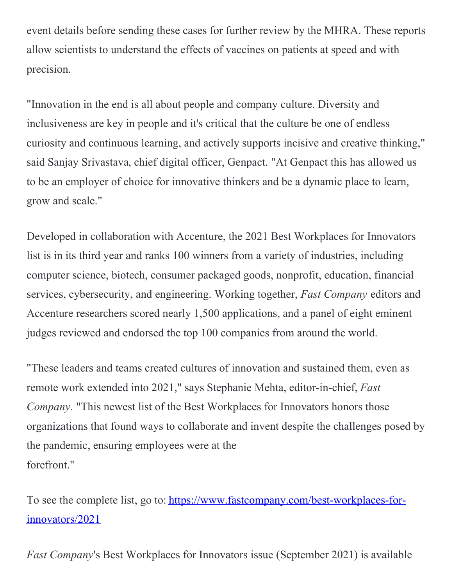event details before sending these cases for further review by the MHRA. These reports allow scientists to understand the effects of vaccines on patients at speed and with precision.

"Innovation in the end is all about people and company culture. Diversity and inclusiveness are key in people and it's critical that the culture be one of endless curiosity and continuous learning, and actively supports incisive and creative thinking," said Sanjay Srivastava, chief digital officer, Genpact. "At Genpact this has allowed us to be an employer of choice for innovative thinkers and be a dynamic place to learn, grow and scale."

Developed in collaboration with Accenture, the 2021 Best Workplaces for Innovators list is in its third year and ranks 100 winners from a variety of industries, including computer science, biotech, consumer packaged goods, nonprofit, education, financial services, cybersecurity, and engineering. Working together, *Fast Company* editors and Accenture researchers scored nearly 1,500 applications, and a panel of eight eminent judges reviewed and endorsed the top 100 companies from around the world.

"These leaders and teams created cultures of innovation and sustained them, even as remote work extended into 2021," says Stephanie Mehta, editor-in-chief, *Fast Company.* "This newest list of the Best Workplaces for Innovators honors those organizations that found ways to collaborate and invent despite the challenges posed by the pandemic, ensuring employees were at the forefront."

To see the complete list, go to: [https://www.fastcompany.com/best-workplaces-for](https://c212.net/c/link/?t=0&l=en&o=3249219-1&h=1448778973&u=https%3A%2F%2Fwww.fastcompany.com%2Fbest-workplaces-for-innovators%2F2021&a=https%3A%2F%2Fwww.fastcompany.com%2Fbest-workplaces-for-innovators%2F2021)innovators/2021

*Fast Company*'s Best Workplaces for Innovators issue (September 2021) is available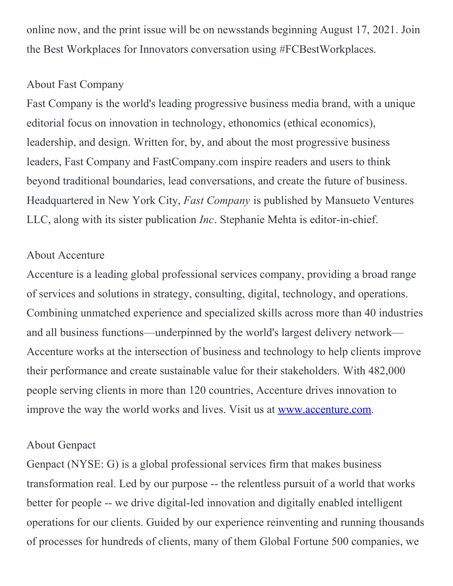online now, and the print issue will be on newsstands beginning August 17, 2021. Join the Best Workplaces for Innovators conversation using #FCBestWorkplaces.

#### About Fast Company

Fast Company is the world's leading progressive business media brand, with a unique editorial focus on innovation in technology, ethonomics (ethical economics), leadership, and design. Written for, by, and about the most progressive business leaders, Fast Company and FastCompany.com inspire readers and users to think beyond traditional boundaries, lead conversations, and create the future of business. Headquartered in New York City, *Fast Company* is published by Mansueto Ventures LLC, along with its sister publication *Inc*. Stephanie Mehta is editor-in-chief.

#### About Accenture

Accenture is a leading global professional services company, providing a broad range of services and solutions in strategy, consulting, digital, technology, and operations. Combining unmatched experience and specialized skills across more than 40 industries and all business functions—underpinned by the world's largest delivery network— Accenture works at the intersection of business and technology to help clients improve their performance and create sustainable value for their stakeholders. With 482,000 people serving clients in more than 120 countries, Accenture drives innovation to improve the way the world works and lives. Visit us at [www.accenture.com](https://c212.net/c/link/?t=0&l=en&o=3249219-1&h=608266440&u=http%3A%2F%2Fwww.accenture.com%2F&a=www.accenture.com).

### About Genpact

Genpact (NYSE: G) is a global professional services firm that makes business transformation real. Led by our purpose -- the relentless pursuit of a world that works better for people -- we drive digital-led innovation and digitally enabled intelligent operations for our clients. Guided by our experience reinventing and running thousands of processes for hundreds of clients, many of them Global Fortune 500 companies, we